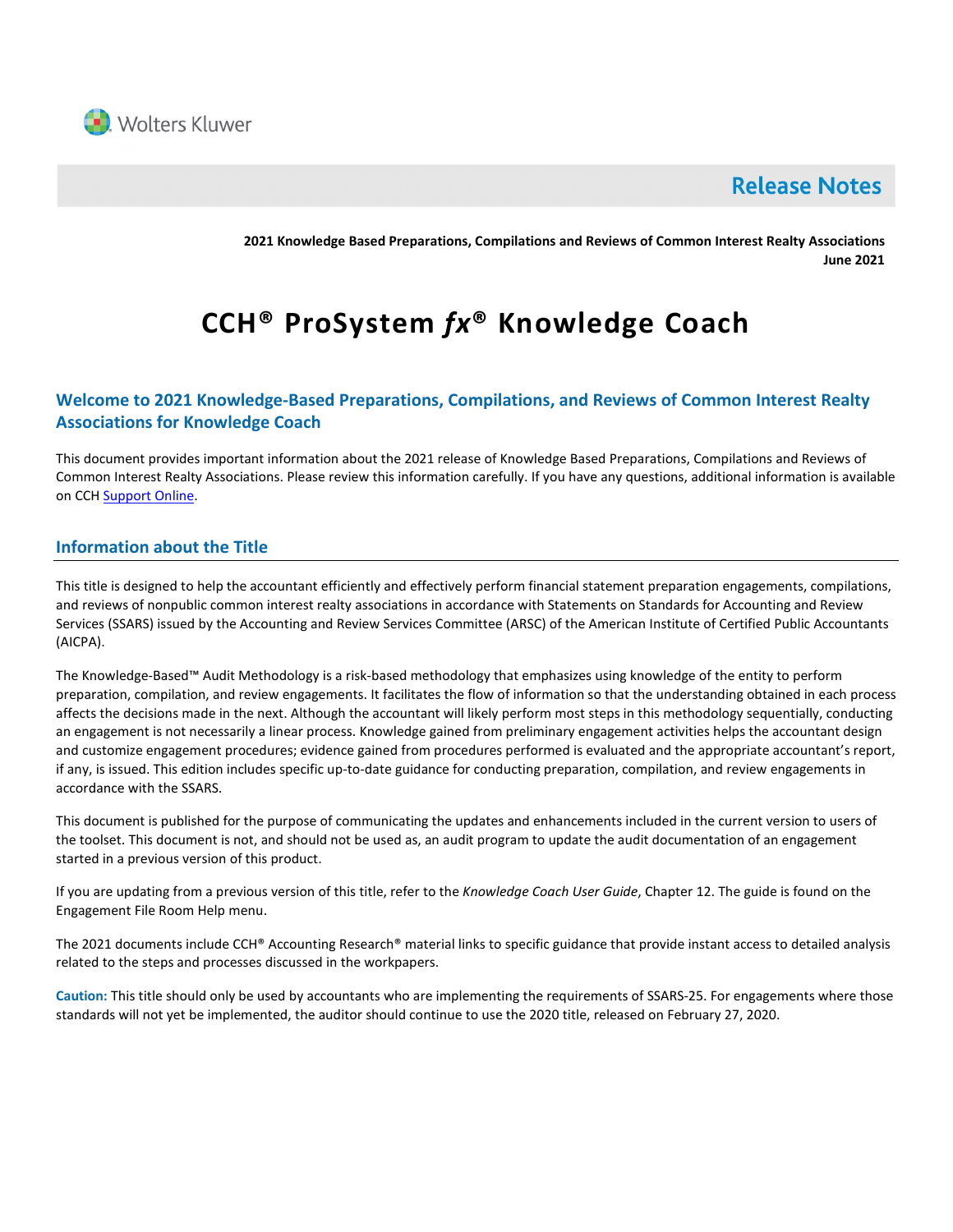

# **Release Notes**

**2021 Knowledge Based Preparations, Compilations and Reviews of Common Interest Realty Associations June 2021**

# **CCH® ProSystem** *fx***® Knowledge Coach**

# **Welcome to 2021 Knowledge-Based Preparations, Compilations, and Reviews of Common Interest Realty Associations for Knowledge Coach**

This document provides important information about the 2021 release of Knowledge Based Preparations, Compilations and Reviews of Common Interest Realty Associations. Please review this information carefully. If you have any questions, additional information is available on CCH **Support Online**.

# **Information about the Title**

This title is designed to help the accountant efficiently and effectively perform financial statement preparation engagements, compilations, and reviews of nonpublic common interest realty associations in accordance with Statements on Standards for Accounting and Review Services (SSARS) issued by the Accounting and Review Services Committee (ARSC) of the American Institute of Certified Public Accountants (AICPA).

The Knowledge-Based™ Audit Methodology is a risk-based methodology that emphasizes using knowledge of the entity to perform preparation, compilation, and review engagements. It facilitates the flow of information so that the understanding obtained in each process affects the decisions made in the next. Although the accountant will likely perform most steps in this methodology sequentially, conducting an engagement is not necessarily a linear process. Knowledge gained from preliminary engagement activities helps the accountant design and customize engagement procedures; evidence gained from procedures performed is evaluated and the appropriate accountant's report, if any, is issued. This edition includes specific up-to-date guidance for conducting preparation, compilation, and review engagements in accordance with the SSARS.

This document is published for the purpose of communicating the updates and enhancements included in the current version to users of the toolset. This document is not, and should not be used as, an audit program to update the audit documentation of an engagement started in a previous version of this product.

If you are updating from a previous version of this title, refer to the *Knowledge Coach User Guide*, Chapter 12. The guide is found on the Engagement File Room Help menu.

The 2021 documents include CCH® Accounting Research® material links to specific guidance that provide instant access to detailed analysis related to the steps and processes discussed in the workpapers.

**Caution:** This title should only be used by accountants who are implementing the requirements of SSARS-25. For engagements where those standards will not yet be implemented, the auditor should continue to use the 2020 title, released on February 27, 2020.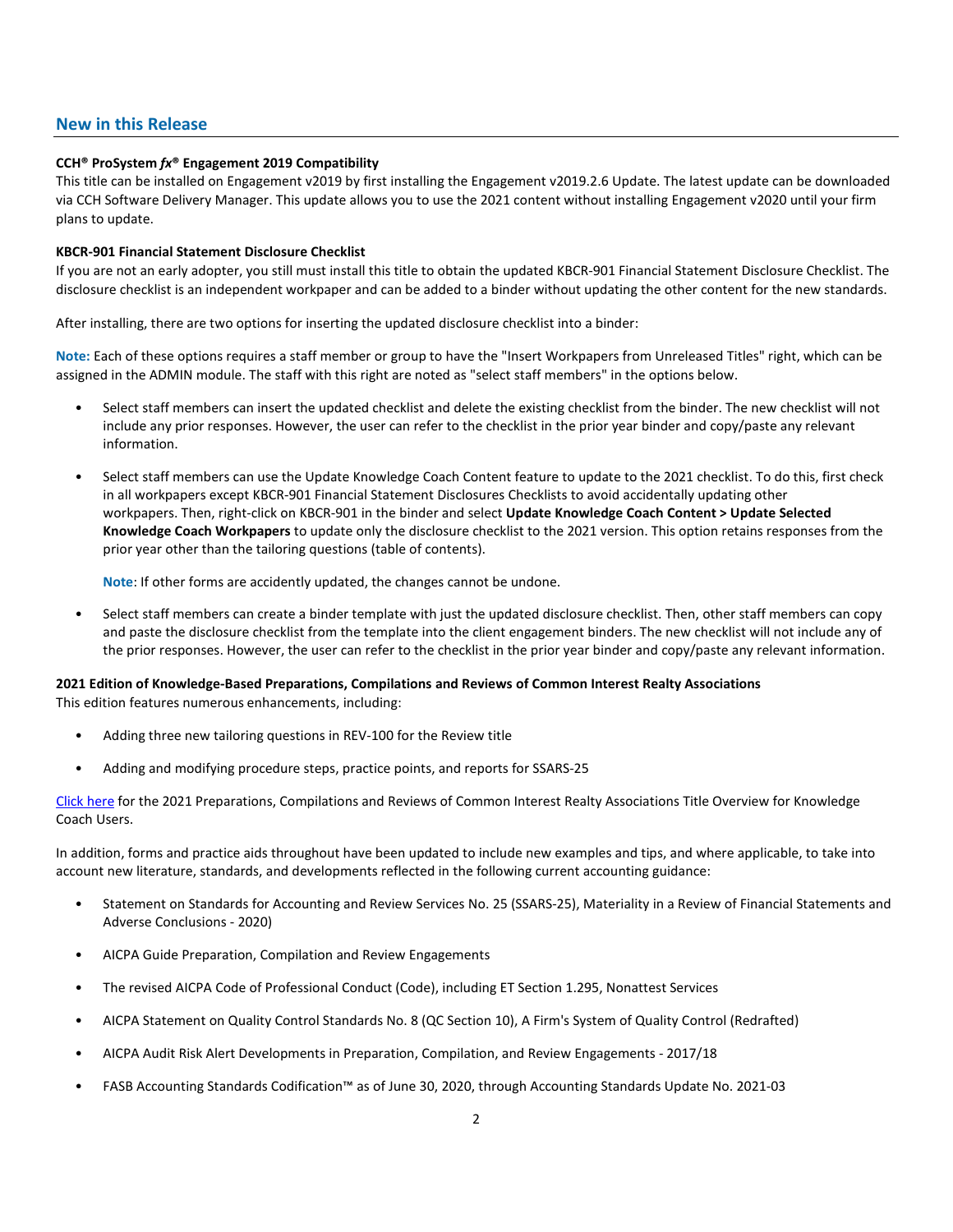### **New in this Release**

#### **CCH® ProSystem** *fx***® Engagement 2019 Compatibility**

This title can be installed on Engagement v2019 by first installing the Engagement v2019.2.6 Update. The latest update can be downloaded via CCH Software Delivery Manager. This update allows you to use the 2021 content without installing Engagement v2020 until your firm plans to update.

#### **KBCR-901 Financial Statement Disclosure Checklist**

If you are not an early adopter, you still must install this title to obtain the updated KBCR-901 Financial Statement Disclosure Checklist. The disclosure checklist is an independent workpaper and can be added to a binder without updating the other content for the new standards.

After installing, there are two options for inserting the updated disclosure checklist into a binder:

**Note:** Each of these options requires a staff member or group to have the "Insert Workpapers from Unreleased Titles" right, which can be assigned in the ADMIN module. The staff with this right are noted as "select staff members" in the options below.

- Select staff members can insert the updated checklist and delete the existing checklist from the binder. The new checklist will not include any prior responses. However, the user can refer to the checklist in the prior year binder and copy/paste any relevant information.
- Select staff members can use the Update Knowledge Coach Content feature to update to the 2021 checklist. To do this, first check in all workpapers except KBCR-901 Financial Statement Disclosures Checklists to avoid accidentally updating other workpapers. Then, right-click on KBCR-901 in the binder and select **Update Knowledge Coach Content > Update Selected Knowledge Coach Workpapers** to update only the disclosure checklist to the 2021 version. This option retains responses from the prior year other than the tailoring questions (table of contents).

**Note**: If other forms are accidently updated, the changes cannot be undone.

• Select staff members can create a binder template with just the updated disclosure checklist. Then, other staff members can copy and paste the disclosure checklist from the template into the client engagement binders. The new checklist will not include any of the prior responses. However, the user can refer to the checklist in the prior year binder and copy/paste any relevant information.

## **2021 Edition of Knowledge-Based Preparations, Compilations and Reviews of Common Interest Realty Associations**

This edition features numerous enhancements, including:

- Adding three new tailoring questions in REV-100 for the Review title
- Adding and modifying procedure steps, practice points, and reports for SSARS-25

[Click here](http://support.cch.com/updates/KnowledgeCoach/pdf/guides_tab/2021%20CIRA%20PCR%20Title%20Overview%20for%20Knowledge%20Coach%20Users.pdf) for the 2021 Preparations, Compilations and Reviews of Common Interest Realty Associations Title Overview for Knowledge Coach Users.

In addition, forms and practice aids throughout have been updated to include new examples and tips, and where applicable, to take into account new literature, standards, and developments reflected in the following current accounting guidance:

- Statement on Standards for Accounting and Review Services No. 25 (SSARS-25), Materiality in a Review of Financial Statements and Adverse Conclusions - 2020)
- AICPA Guide Preparation, Compilation and Review Engagements
- The revised AICPA Code of Professional Conduct (Code), including ET Section 1.295, Nonattest Services
- AICPA Statement on Quality Control Standards No. 8 (QC Section 10), A Firm's System of Quality Control (Redrafted)
- AICPA Audit Risk Alert Developments in Preparation, Compilation, and Review Engagements 2017/18
- FASB Accounting Standards Codification™ as of June 30, 2020, through Accounting Standards Update No. 2021-03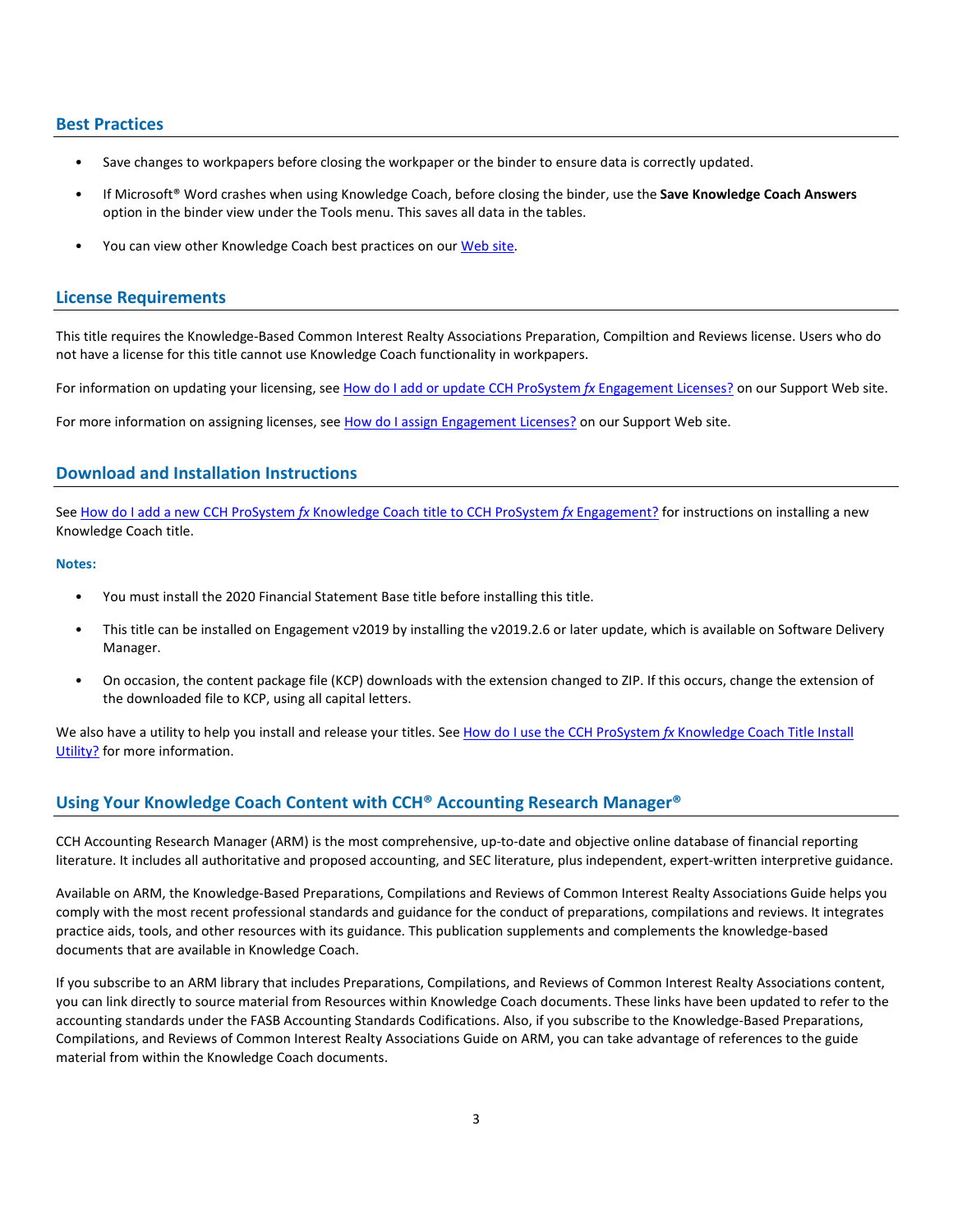#### **Best Practices**

- Save changes to workpapers before closing the workpaper or the binder to ensure data is correctly updated.
- If Microsoft® Word crashes when using Knowledge Coach, before closing the binder, use the **Save Knowledge Coach Answers** option in the binder view under the Tools menu. This saves all data in the tables.
- You can view other Knowledge Coach best practices on ou[r Web](https://support.cch.com/kb/solution/000034942/sw34947) site.

#### **License Requirements**

This title requires the Knowledge-Based Common Interest Realty Associations Preparation, Compiltion and Reviews license. Users who do not have a license for this title cannot use Knowledge Coach functionality in workpapers.

For information on updating your licensing, see [How do I add or update CCH ProSystem](https://support.cch.com/kb/solution.aspx/sw3937) fx Engagement Licenses? on our Support Web site.

For more information on assigning licenses, see [How do I assign Engagement Licenses?](https://support.cch.com/kb/solution.aspx/sw3943) on our Support Web site.

## **Download and Installation Instructions**

See How do I add a new CCH ProSystem *fx* [Knowledge Coach title to CCH ProSystem](https://support.cch.com/kb/solution/000033707/sw30271) *fx* Engagement? for instructions on installing a new Knowledge Coach title.

#### **Notes:**

- You must install the 2020 Financial Statement Base title before installing this title.
- This title can be installed on Engagement v2019 by installing the v2019.2.6 or later update, which is available on Software Delivery Manager.
- On occasion, the content package file (KCP) downloads with the extension changed to ZIP. If this occurs, change the extension of the downloaded file to KCP, using all capital letters.

We also have a utility to help you install and release your titles. See [How do I use the CCH ProSystem](https://support.cch.com/kb/solution/000096965/000096965) fx Knowledge Coach Title Install [Utility?](https://support.cch.com/kb/solution/000096965/000096965) for more information.

## **Using Your Knowledge Coach Content with CCH® Accounting Research Manager®**

CCH Accounting Research Manager (ARM) is the most comprehensive, up-to-date and objective online database of financial reporting literature. It includes all authoritative and proposed accounting, and SEC literature, plus independent, expert-written interpretive guidance.

Available on ARM, the Knowledge-Based Preparations, Compilations and Reviews of Common Interest Realty Associations Guide helps you comply with the most recent professional standards and guidance for the conduct of preparations, compilations and reviews. It integrates practice aids, tools, and other resources with its guidance. This publication supplements and complements the knowledge-based documents that are available in Knowledge Coach.

If you subscribe to an ARM library that includes Preparations, Compilations, and Reviews of Common Interest Realty Associations content, you can link directly to source material from Resources within Knowledge Coach documents. These links have been updated to refer to the accounting standards under the FASB Accounting Standards Codifications. Also, if you subscribe to the Knowledge-Based Preparations, Compilations, and Reviews of Common Interest Realty Associations Guide on ARM, you can take advantage of references to the guide material from within the Knowledge Coach documents.